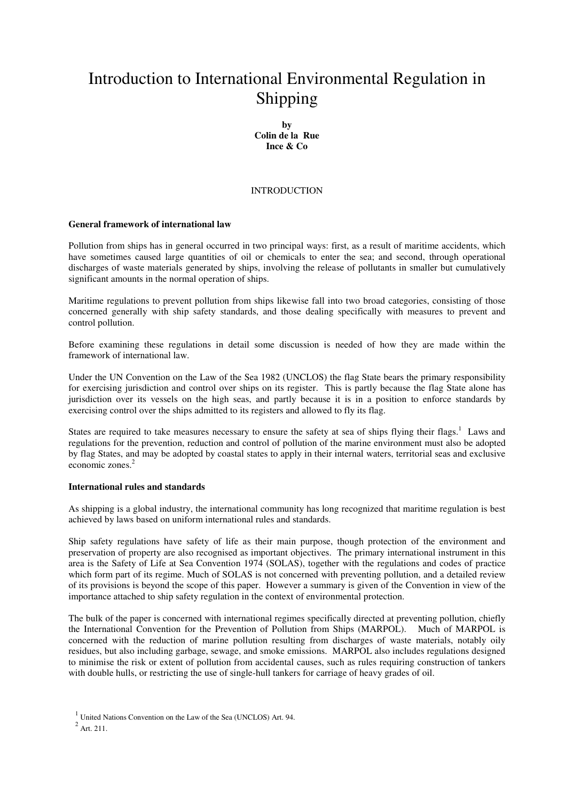# Introduction to International Environmental Regulation in Shipping

**by Colin de la Rue Ince & Co** 

## **INTRODUCTION**

#### **General framework of international law**

Pollution from ships has in general occurred in two principal ways: first, as a result of maritime accidents, which have sometimes caused large quantities of oil or chemicals to enter the sea; and second, through operational discharges of waste materials generated by ships, involving the release of pollutants in smaller but cumulatively significant amounts in the normal operation of ships.

Maritime regulations to prevent pollution from ships likewise fall into two broad categories, consisting of those concerned generally with ship safety standards, and those dealing specifically with measures to prevent and control pollution.

Before examining these regulations in detail some discussion is needed of how they are made within the framework of international law.

Under the UN Convention on the Law of the Sea 1982 (UNCLOS) the flag State bears the primary responsibility for exercising jurisdiction and control over ships on its register. This is partly because the flag State alone has jurisdiction over its vessels on the high seas, and partly because it is in a position to enforce standards by exercising control over the ships admitted to its registers and allowed to fly its flag.

States are required to take measures necessary to ensure the safety at sea of ships flying their flags.<sup>1</sup> Laws and regulations for the prevention, reduction and control of pollution of the marine environment must also be adopted by flag States, and may be adopted by coastal states to apply in their internal waters, territorial seas and exclusive economic zones.<sup>2</sup>

# **International rules and standards**

As shipping is a global industry, the international community has long recognized that maritime regulation is best achieved by laws based on uniform international rules and standards.

Ship safety regulations have safety of life as their main purpose, though protection of the environment and preservation of property are also recognised as important objectives. The primary international instrument in this area is the Safety of Life at Sea Convention 1974 (SOLAS), together with the regulations and codes of practice which form part of its regime. Much of SOLAS is not concerned with preventing pollution, and a detailed review of its provisions is beyond the scope of this paper. However a summary is given of the Convention in view of the importance attached to ship safety regulation in the context of environmental protection.

The bulk of the paper is concerned with international regimes specifically directed at preventing pollution, chiefly the International Convention for the Prevention of Pollution from Ships (MARPOL). Much of MARPOL is concerned with the reduction of marine pollution resulting from discharges of waste materials, notably oily residues, but also including garbage, sewage, and smoke emissions. MARPOL also includes regulations designed to minimise the risk or extent of pollution from accidental causes, such as rules requiring construction of tankers with double hulls, or restricting the use of single-hull tankers for carriage of heavy grades of oil.

<sup>1</sup> United Nations Convention on the Law of the Sea (UNCLOS) Art. 94.

 $^{2}$  Art. 211.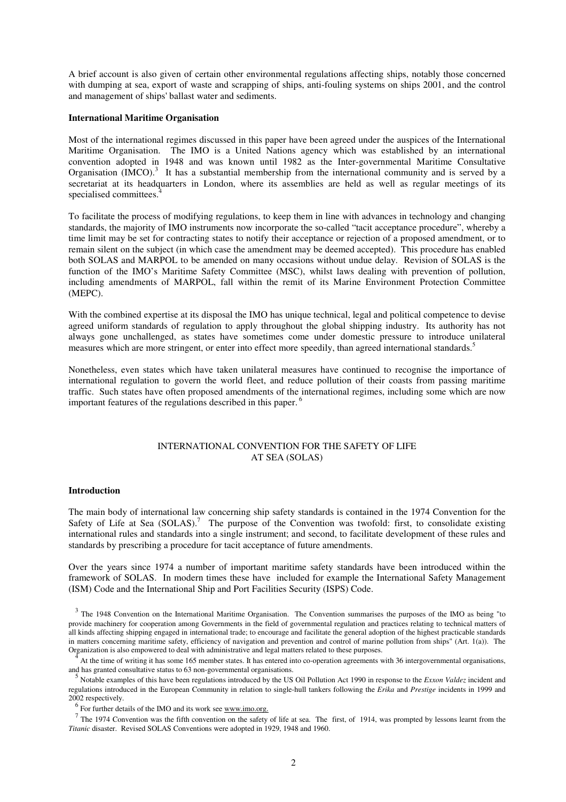A brief account is also given of certain other environmental regulations affecting ships, notably those concerned with dumping at sea, export of waste and scrapping of ships, anti-fouling systems on ships 2001, and the control and management of ships' ballast water and sediments.

#### **International Maritime Organisation**

Most of the international regimes discussed in this paper have been agreed under the auspices of the International Maritime Organisation. The IMO is a United Nations agency which was established by an international convention adopted in 1948 and was known until 1982 as the Inter-governmental Maritime Consultative Organisation  $(\tilde{IMCO})$ .<sup>3</sup> It has a substantial membership from the international community and is served by a secretariat at its headquarters in London, where its assemblies are held as well as regular meetings of its specialised committees.<sup>4</sup>

To facilitate the process of modifying regulations, to keep them in line with advances in technology and changing standards, the majority of IMO instruments now incorporate the so-called "tacit acceptance procedure", whereby a time limit may be set for contracting states to notify their acceptance or rejection of a proposed amendment, or to remain silent on the subject (in which case the amendment may be deemed accepted). This procedure has enabled both SOLAS and MARPOL to be amended on many occasions without undue delay. Revision of SOLAS is the function of the IMO's Maritime Safety Committee (MSC), whilst laws dealing with prevention of pollution, including amendments of MARPOL, fall within the remit of its Marine Environment Protection Committee (MEPC).

With the combined expertise at its disposal the IMO has unique technical, legal and political competence to devise agreed uniform standards of regulation to apply throughout the global shipping industry. Its authority has not always gone unchallenged, as states have sometimes come under domestic pressure to introduce unilateral measures which are more stringent, or enter into effect more speedily, than agreed international standards.<sup>5</sup>

Nonetheless, even states which have taken unilateral measures have continued to recognise the importance of international regulation to govern the world fleet, and reduce pollution of their coasts from passing maritime traffic. Such states have often proposed amendments of the international regimes, including some which are now important features of the regulations described in this paper.<sup>6</sup>

# INTERNATIONAL CONVENTION FOR THE SAFETY OF LIFE AT SEA (SOLAS)

### **Introduction**

The main body of international law concerning ship safety standards is contained in the 1974 Convention for the Safety of Life at Sea (SOLAS).<sup>7</sup> The purpose of the Convention was twofold: first, to consolidate existing international rules and standards into a single instrument; and second, to facilitate development of these rules and standards by prescribing a procedure for tacit acceptance of future amendments.

Over the years since 1974 a number of important maritime safety standards have been introduced within the framework of SOLAS. In modern times these have included for example the International Safety Management (ISM) Code and the International Ship and Port Facilities Security (ISPS) Code.

 $3$  The 1948 Convention on the International Maritime Organisation. The Convention summarises the purposes of the IMO as being "to provide machinery for cooperation among Governments in the field of governmental regulation and practices relating to technical matters of all kinds affecting shipping engaged in international trade; to encourage and facilitate the general adoption of the highest practicable standards in matters concerning maritime safety, efficiency of navigation and prevention and control of marine pollution from ships" (Art. 1(a)). The Organization is also empowered to deal with administrative and legal matters related to these purposes.

<sup>4</sup> At the time of writing it has some 165 member states. It has entered into co-operation agreements with 36 intergovernmental organisations, and has granted consultative status to 63 non-governmental organisations.

<sup>5</sup> Notable examples of this have been regulations introduced by the US Oil Pollution Act 1990 in response to the *Exxon Valdez* incident and regulations introduced in the European Community in relation to single-hull tankers following the *Erika* and *Prestige* incidents in 1999 and 2002 respectively.

<sup>&</sup>lt;sup>6</sup> For further details of the IMO and its work see www.imo.org.

 $<sup>7</sup>$  The 1974 Convention was the fifth convention on the safety of life at sea. The first, of 1914, was prompted by lessons learnt from the</sup> *Titanic* disaster. Revised SOLAS Conventions were adopted in 1929, 1948 and 1960.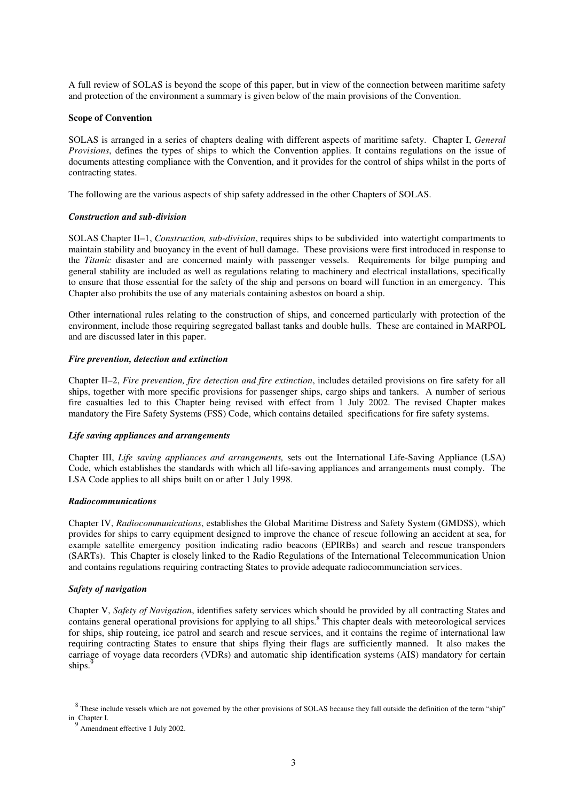A full review of SOLAS is beyond the scope of this paper, but in view of the connection between maritime safety and protection of the environment a summary is given below of the main provisions of the Convention.

#### **Scope of Convention**

SOLAS is arranged in a series of chapters dealing with different aspects of maritime safety. Chapter I, *General Provisions*, defines the types of ships to which the Convention applies. It contains regulations on the issue of documents attesting compliance with the Convention, and it provides for the control of ships whilst in the ports of contracting states.

The following are the various aspects of ship safety addressed in the other Chapters of SOLAS.

#### *Construction and sub-division*

SOLAS Chapter II–1, *Construction, sub-division*, requires ships to be subdivided into watertight compartments to maintain stability and buoyancy in the event of hull damage. These provisions were first introduced in response to the *Titanic* disaster and are concerned mainly with passenger vessels. Requirements for bilge pumping and general stability are included as well as regulations relating to machinery and electrical installations, specifically to ensure that those essential for the safety of the ship and persons on board will function in an emergency. This Chapter also prohibits the use of any materials containing asbestos on board a ship.

Other international rules relating to the construction of ships, and concerned particularly with protection of the environment, include those requiring segregated ballast tanks and double hulls. These are contained in MARPOL and are discussed later in this paper.

## *Fire prevention, detection and extinction*

Chapter II–2, *Fire prevention, fire detection and fire extinction*, includes detailed provisions on fire safety for all ships, together with more specific provisions for passenger ships, cargo ships and tankers. A number of serious fire casualties led to this Chapter being revised with effect from 1 July 2002. The revised Chapter makes mandatory the Fire Safety Systems (FSS) Code, which contains detailed specifications for fire safety systems.

#### *Life saving appliances and arrangements*

Chapter III, *Life saving appliances and arrangements,* sets out the International Life-Saving Appliance (LSA) Code, which establishes the standards with which all life-saving appliances and arrangements must comply. The LSA Code applies to all ships built on or after 1 July 1998.

#### *Radiocommunications*

Chapter IV, *Radiocommunications*, establishes the Global Maritime Distress and Safety System (GMDSS), which provides for ships to carry equipment designed to improve the chance of rescue following an accident at sea, for example satellite emergency position indicating radio beacons (EPIRBs) and search and rescue transponders (SARTs). This Chapter is closely linked to the Radio Regulations of the International Telecommunication Union and contains regulations requiring contracting States to provide adequate radiocommunciation services.

# *Safety of navigation*

Chapter V, *Safety of Navigation*, identifies safety services which should be provided by all contracting States and contains general operational provisions for applying to all ships.<sup>8</sup> This chapter deals with meteorological services for ships, ship routeing, ice patrol and search and rescue services, and it contains the regime of international law requiring contracting States to ensure that ships flying their flags are sufficiently manned. It also makes the carriage of voyage data recorders (VDRs) and automatic ship identification systems (AIS) mandatory for certain ships.

 $8$  These include vessels which are not governed by the other provisions of SOLAS because they fall outside the definition of the term "ship" in Chapter I.

<sup>&</sup>lt;sup>9</sup> Amendment effective 1 July 2002.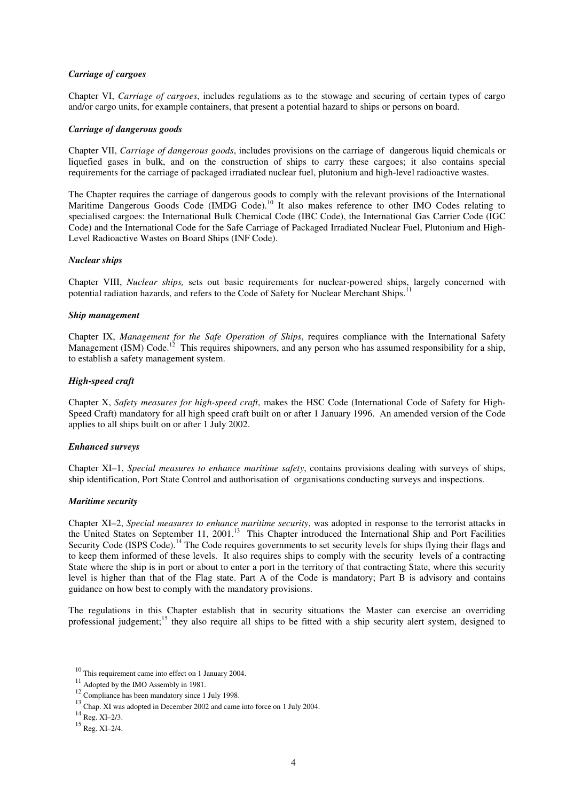#### *Carriage of cargoes*

Chapter VI, *Carriage of cargoes*, includes regulations as to the stowage and securing of certain types of cargo and/or cargo units, for example containers, that present a potential hazard to ships or persons on board.

#### *Carriage of dangerous goods*

Chapter VII, *Carriage of dangerous goods*, includes provisions on the carriage of dangerous liquid chemicals or liquefied gases in bulk, and on the construction of ships to carry these cargoes; it also contains special requirements for the carriage of packaged irradiated nuclear fuel, plutonium and high-level radioactive wastes.

The Chapter requires the carriage of dangerous goods to comply with the relevant provisions of the International Maritime Dangerous Goods Code (IMDG Code).<sup>10</sup> It also makes reference to other IMO Codes relating to specialised cargoes: the International Bulk Chemical Code (IBC Code), the International Gas Carrier Code (IGC Code) and the International Code for the Safe Carriage of Packaged Irradiated Nuclear Fuel, Plutonium and High-Level Radioactive Wastes on Board Ships (INF Code).

## *Nuclear ships*

Chapter VIII, *Nuclear ships,* sets out basic requirements for nuclear-powered ships, largely concerned with potential radiation hazards, and refers to the Code of Safety for Nuclear Merchant Ships.<sup>11</sup>

#### *Ship management*

Chapter IX, *Management for the Safe Operation of Ships*, requires compliance with the International Safety Management (ISM) Code.<sup>12</sup> This requires shipowners, and any person who has assumed responsibility for a ship, to establish a safety management system.

## *High-speed craft*

Chapter X, *Safety measures for high-speed craft*, makes the HSC Code (International Code of Safety for High-Speed Craft) mandatory for all high speed craft built on or after 1 January 1996. An amended version of the Code applies to all ships built on or after 1 July 2002.

# *Enhanced surveys*

Chapter XI–1, *Special measures to enhance maritime safety*, contains provisions dealing with surveys of ships, ship identification, Port State Control and authorisation of organisations conducting surveys and inspections.

#### *Maritime security*

Chapter XI–2, *Special measures to enhance maritime security*, was adopted in response to the terrorist attacks in the United States on September 11, 2001.<sup>13</sup> This Chapter introduced the International Ship and Port Facilities Security Code (ISPS Code).<sup>14</sup> The Code requires governments to set security levels for ships flying their flags and to keep them informed of these levels. It also requires ships to comply with the security levels of a contracting State where the ship is in port or about to enter a port in the territory of that contracting State, where this security level is higher than that of the Flag state. Part A of the Code is mandatory; Part B is advisory and contains guidance on how best to comply with the mandatory provisions.

The regulations in this Chapter establish that in security situations the Master can exercise an overriding professional judgement;<sup>15</sup> they also require all ships to be fitted with a ship security alert system, designed to

<sup>10</sup> This requirement came into effect on 1 January 2004.

 $11$  Adopted by the IMO Assembly in 1981.

<sup>&</sup>lt;sup>12</sup> Compliance has been mandatory since 1 July 1998.

<sup>&</sup>lt;sup>13</sup> Chap. XI was adopted in December 2002 and came into force on 1 July 2004.

<sup>14</sup> Reg. XI–2/3.

 $15 \text{Reg. } XI-2/4.$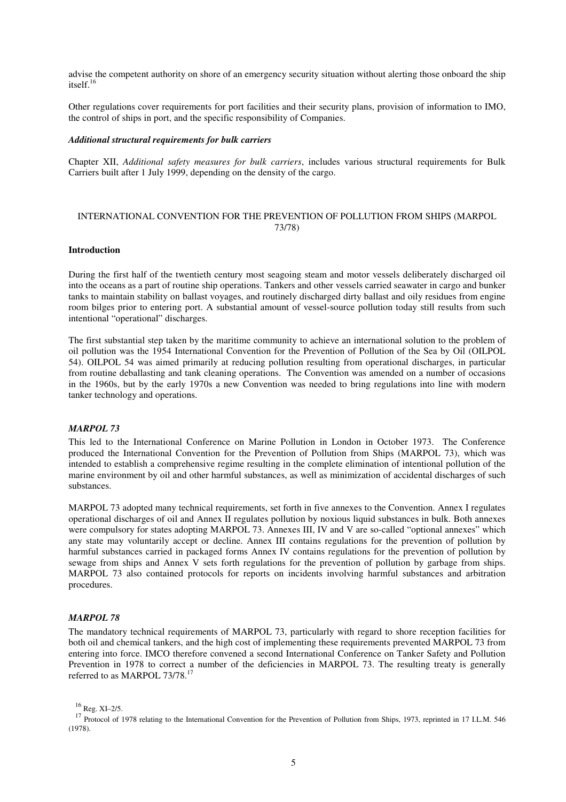advise the competent authority on shore of an emergency security situation without alerting those onboard the ship itself.<sup>16</sup>

Other regulations cover requirements for port facilities and their security plans, provision of information to IMO, the control of ships in port, and the specific responsibility of Companies.

## *Additional structural requirements for bulk carriers*

Chapter XII, *Additional safety measures for bulk carriers*, includes various structural requirements for Bulk Carriers built after 1 July 1999, depending on the density of the cargo.

# INTERNATIONAL CONVENTION FOR THE PREVENTION OF POLLUTION FROM SHIPS (MARPOL 73/78)

## **Introduction**

During the first half of the twentieth century most seagoing steam and motor vessels deliberately discharged oil into the oceans as a part of routine ship operations. Tankers and other vessels carried seawater in cargo and bunker tanks to maintain stability on ballast voyages, and routinely discharged dirty ballast and oily residues from engine room bilges prior to entering port. A substantial amount of vessel-source pollution today still results from such intentional "operational" discharges.

The first substantial step taken by the maritime community to achieve an international solution to the problem of oil pollution was the 1954 International Convention for the Prevention of Pollution of the Sea by Oil (OILPOL 54). OILPOL 54 was aimed primarily at reducing pollution resulting from operational discharges, in particular from routine deballasting and tank cleaning operations. The Convention was amended on a number of occasions in the 1960s, but by the early 1970s a new Convention was needed to bring regulations into line with modern tanker technology and operations.

#### *MARPOL 73*

This led to the International Conference on Marine Pollution in London in October 1973. The Conference produced the International Convention for the Prevention of Pollution from Ships (MARPOL 73), which was intended to establish a comprehensive regime resulting in the complete elimination of intentional pollution of the marine environment by oil and other harmful substances, as well as minimization of accidental discharges of such substances.

MARPOL 73 adopted many technical requirements, set forth in five annexes to the Convention. Annex I regulates operational discharges of oil and Annex II regulates pollution by noxious liquid substances in bulk. Both annexes were compulsory for states adopting MARPOL 73. Annexes III, IV and V are so-called "optional annexes" which any state may voluntarily accept or decline. Annex III contains regulations for the prevention of pollution by harmful substances carried in packaged forms Annex IV contains regulations for the prevention of pollution by sewage from ships and Annex V sets forth regulations for the prevention of pollution by garbage from ships. MARPOL 73 also contained protocols for reports on incidents involving harmful substances and arbitration procedures.

#### *MARPOL 78*

The mandatory technical requirements of MARPOL 73, particularly with regard to shore reception facilities for both oil and chemical tankers, and the high cost of implementing these requirements prevented MARPOL 73 from entering into force. IMCO therefore convened a second International Conference on Tanker Safety and Pollution Prevention in 1978 to correct a number of the deficiencies in MARPOL 73. The resulting treaty is generally referred to as MARPOL 73/78.<sup>1</sup>

<sup>16</sup> Reg. XI–2/5.

<sup>&</sup>lt;sup>17</sup> Protocol of 1978 relating to the International Convention for the Prevention of Pollution from Ships, 1973, reprinted in 17 I.L.M. 546 (1978).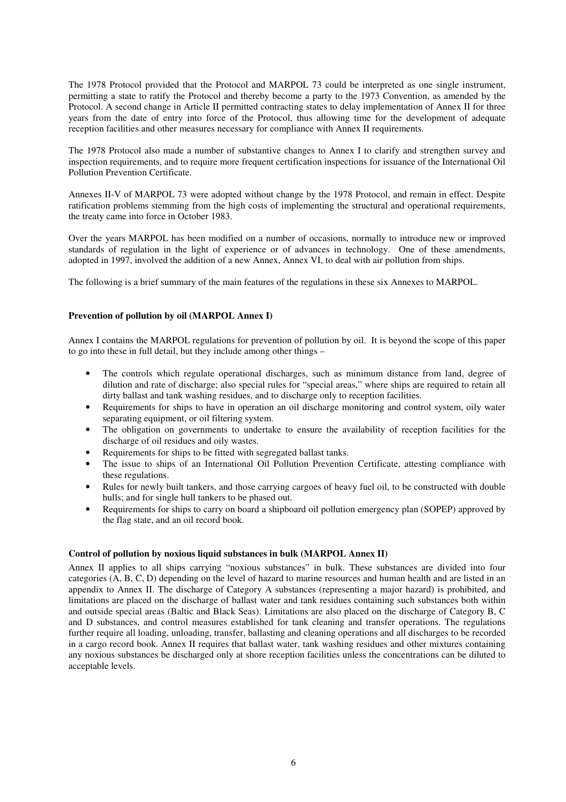The 1978 Protocol provided that the Protocol and MARPOL 73 could be interpreted as one single instrument, permitting a state to ratify the Protocol and thereby become a party to the 1973 Convention, as amended by the Protocol. A second change in Article II permitted contracting states to delay implementation of Annex II for three years from the date of entry into force of the Protocol, thus allowing time for the development of adequate reception facilities and other measures necessary for compliance with Annex II requirements.

The 1978 Protocol also made a number of substantive changes to Annex I to clarify and strengthen survey and inspection requirements, and to require more frequent certification inspections for issuance of the International Oil Pollution Prevention Certificate.

Annexes II-V of MARPOL 73 were adopted without change by the 1978 Protocol, and remain in effect. Despite ratification problems stemming from the high costs of implementing the structural and operational requirements, the treaty came into force in October 1983.

Over the years MARPOL has been modified on a number of occasions, normally to introduce new or improved standards of regulation in the light of experience or of advances in technology. One of these amendments, adopted in 1997, involved the addition of a new Annex, Annex VI, to deal with air pollution from ships.

The following is a brief summary of the main features of the regulations in these six Annexes to MARPOL.

## **Prevention of pollution by oil (MARPOL Annex I)**

Annex I contains the MARPOL regulations for prevention of pollution by oil. It is beyond the scope of this paper to go into these in full detail, but they include among other things –

- The controls which regulate operational discharges, such as minimum distance from land, degree of dilution and rate of discharge; also special rules for "special areas," where ships are required to retain all dirty ballast and tank washing residues, and to discharge only to reception facilities.
- Requirements for ships to have in operation an oil discharge monitoring and control system, oily water separating equipment, or oil filtering system.
- The obligation on governments to undertake to ensure the availability of reception facilities for the discharge of oil residues and oily wastes.
- Requirements for ships to be fitted with segregated ballast tanks.
- The issue to ships of an International Oil Pollution Prevention Certificate, attesting compliance with these regulations.
- Rules for newly built tankers, and those carrying cargoes of heavy fuel oil, to be constructed with double hulls; and for single hull tankers to be phased out.
- Requirements for ships to carry on board a shipboard oil pollution emergency plan (SOPEP) approved by the flag state, and an oil record book.

#### **Control of pollution by noxious liquid substances in bulk (MARPOL Annex II)**

Annex II applies to all ships carrying "noxious substances" in bulk. These substances are divided into four categories (A, B, C, D) depending on the level of hazard to marine resources and human health and are listed in an appendix to Annex II. The discharge of Category A substances (representing a major hazard) is prohibited, and limitations are placed on the discharge of ballast water and tank residues containing such substances both within and outside special areas (Baltic and Black Seas). Limitations are also placed on the discharge of Category B, C and D substances, and control measures established for tank cleaning and transfer operations. The regulations further require all loading, unloading, transfer, ballasting and cleaning operations and all discharges to be recorded in a cargo record book. Annex II requires that ballast water, tank washing residues and other mixtures containing any noxious substances be discharged only at shore reception facilities unless the concentrations can be diluted to acceptable levels.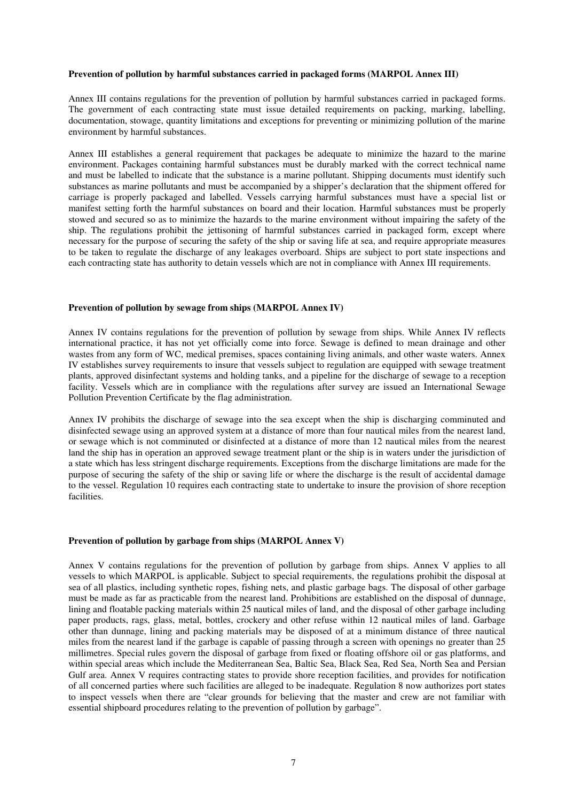#### **Prevention of pollution by harmful substances carried in packaged forms (MARPOL Annex III)**

Annex III contains regulations for the prevention of pollution by harmful substances carried in packaged forms. The government of each contracting state must issue detailed requirements on packing, marking, labelling, documentation, stowage, quantity limitations and exceptions for preventing or minimizing pollution of the marine environment by harmful substances.

Annex III establishes a general requirement that packages be adequate to minimize the hazard to the marine environment. Packages containing harmful substances must be durably marked with the correct technical name and must be labelled to indicate that the substance is a marine pollutant. Shipping documents must identify such substances as marine pollutants and must be accompanied by a shipper's declaration that the shipment offered for carriage is properly packaged and labelled. Vessels carrying harmful substances must have a special list or manifest setting forth the harmful substances on board and their location. Harmful substances must be properly stowed and secured so as to minimize the hazards to the marine environment without impairing the safety of the ship. The regulations prohibit the jettisoning of harmful substances carried in packaged form, except where necessary for the purpose of securing the safety of the ship or saving life at sea, and require appropriate measures to be taken to regulate the discharge of any leakages overboard. Ships are subject to port state inspections and each contracting state has authority to detain vessels which are not in compliance with Annex III requirements.

### **Prevention of pollution by sewage from ships (MARPOL Annex IV)**

Annex IV contains regulations for the prevention of pollution by sewage from ships. While Annex IV reflects international practice, it has not yet officially come into force. Sewage is defined to mean drainage and other wastes from any form of WC, medical premises, spaces containing living animals, and other waste waters. Annex IV establishes survey requirements to insure that vessels subject to regulation are equipped with sewage treatment plants, approved disinfectant systems and holding tanks, and a pipeline for the discharge of sewage to a reception facility. Vessels which are in compliance with the regulations after survey are issued an International Sewage Pollution Prevention Certificate by the flag administration.

Annex IV prohibits the discharge of sewage into the sea except when the ship is discharging comminuted and disinfected sewage using an approved system at a distance of more than four nautical miles from the nearest land, or sewage which is not comminuted or disinfected at a distance of more than 12 nautical miles from the nearest land the ship has in operation an approved sewage treatment plant or the ship is in waters under the jurisdiction of a state which has less stringent discharge requirements. Exceptions from the discharge limitations are made for the purpose of securing the safety of the ship or saving life or where the discharge is the result of accidental damage to the vessel. Regulation 10 requires each contracting state to undertake to insure the provision of shore reception facilities.

#### **Prevention of pollution by garbage from ships (MARPOL Annex V)**

Annex V contains regulations for the prevention of pollution by garbage from ships. Annex V applies to all vessels to which MARPOL is applicable. Subject to special requirements, the regulations prohibit the disposal at sea of all plastics, including synthetic ropes, fishing nets, and plastic garbage bags. The disposal of other garbage must be made as far as practicable from the nearest land. Prohibitions are established on the disposal of dunnage, lining and floatable packing materials within 25 nautical miles of land, and the disposal of other garbage including paper products, rags, glass, metal, bottles, crockery and other refuse within 12 nautical miles of land. Garbage other than dunnage, lining and packing materials may be disposed of at a minimum distance of three nautical miles from the nearest land if the garbage is capable of passing through a screen with openings no greater than 25 millimetres. Special rules govern the disposal of garbage from fixed or floating offshore oil or gas platforms, and within special areas which include the Mediterranean Sea, Baltic Sea, Black Sea, Red Sea, North Sea and Persian Gulf area. Annex V requires contracting states to provide shore reception facilities, and provides for notification of all concerned parties where such facilities are alleged to be inadequate. Regulation 8 now authorizes port states to inspect vessels when there are "clear grounds for believing that the master and crew are not familiar with essential shipboard procedures relating to the prevention of pollution by garbage".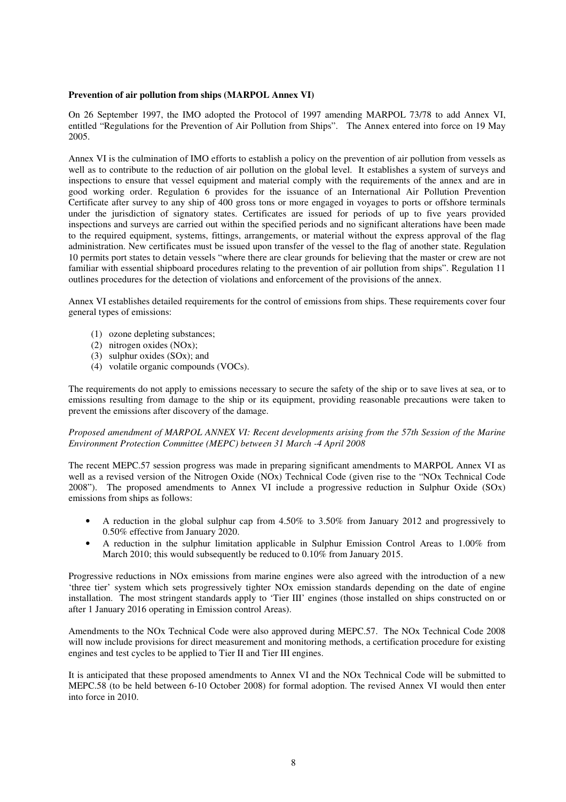## **Prevention of air pollution from ships (MARPOL Annex VI)**

On 26 September 1997, the IMO adopted the Protocol of 1997 amending MARPOL 73/78 to add Annex VI, entitled "Regulations for the Prevention of Air Pollution from Ships". The Annex entered into force on 19 May 2005.

Annex VI is the culmination of IMO efforts to establish a policy on the prevention of air pollution from vessels as well as to contribute to the reduction of air pollution on the global level. It establishes a system of surveys and inspections to ensure that vessel equipment and material comply with the requirements of the annex and are in good working order. Regulation 6 provides for the issuance of an International Air Pollution Prevention Certificate after survey to any ship of 400 gross tons or more engaged in voyages to ports or offshore terminals under the jurisdiction of signatory states. Certificates are issued for periods of up to five years provided inspections and surveys are carried out within the specified periods and no significant alterations have been made to the required equipment, systems, fittings, arrangements, or material without the express approval of the flag administration. New certificates must be issued upon transfer of the vessel to the flag of another state. Regulation 10 permits port states to detain vessels "where there are clear grounds for believing that the master or crew are not familiar with essential shipboard procedures relating to the prevention of air pollution from ships". Regulation 11 outlines procedures for the detection of violations and enforcement of the provisions of the annex.

Annex VI establishes detailed requirements for the control of emissions from ships. These requirements cover four general types of emissions:

- (1) ozone depleting substances;
- (2) nitrogen oxides (NOx);
- (3) sulphur oxides (SOx); and
- (4) volatile organic compounds (VOCs).

The requirements do not apply to emissions necessary to secure the safety of the ship or to save lives at sea, or to emissions resulting from damage to the ship or its equipment, providing reasonable precautions were taken to prevent the emissions after discovery of the damage.

*Proposed amendment of MARPOL ANNEX VI: Recent developments arising from the 57th Session of the Marine Environment Protection Committee (MEPC) between 31 March -4 April 2008* 

The recent MEPC.57 session progress was made in preparing significant amendments to MARPOL Annex VI as well as a revised version of the Nitrogen Oxide (NOx) Technical Code (given rise to the "NOx Technical Code 2008"). The proposed amendments to Annex VI include a progressive reduction in Sulphur Oxide (SOx) emissions from ships as follows:

- A reduction in the global sulphur cap from 4.50% to 3.50% from January 2012 and progressively to 0.50% effective from January 2020.
- A reduction in the sulphur limitation applicable in Sulphur Emission Control Areas to 1.00% from March 2010; this would subsequently be reduced to 0.10% from January 2015.

Progressive reductions in NOx emissions from marine engines were also agreed with the introduction of a new 'three tier' system which sets progressively tighter NOx emission standards depending on the date of engine installation. The most stringent standards apply to 'Tier III' engines (those installed on ships constructed on or after 1 January 2016 operating in Emission control Areas).

Amendments to the NOx Technical Code were also approved during MEPC.57. The NOx Technical Code 2008 will now include provisions for direct measurement and monitoring methods, a certification procedure for existing engines and test cycles to be applied to Tier II and Tier III engines.

It is anticipated that these proposed amendments to Annex VI and the NOx Technical Code will be submitted to MEPC.58 (to be held between 6-10 October 2008) for formal adoption. The revised Annex VI would then enter into force in 2010.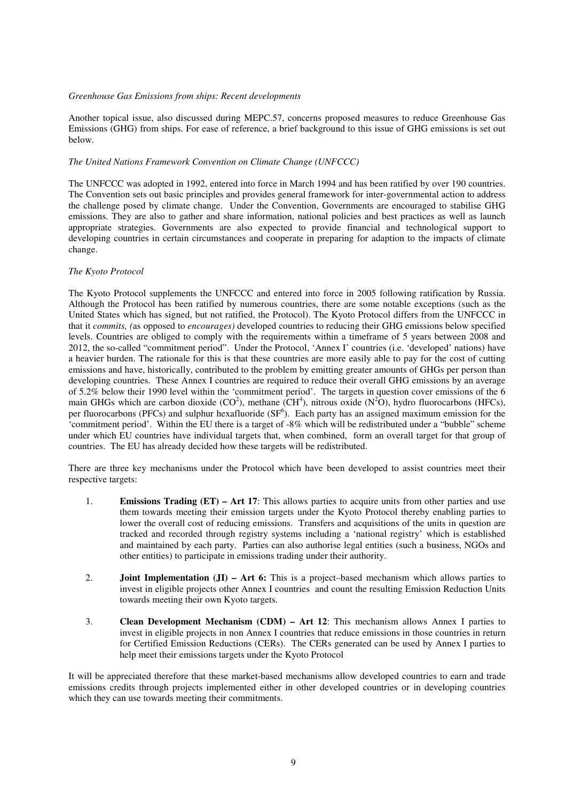## *Greenhouse Gas Emissions from ships: Recent developments*

Another topical issue, also discussed during MEPC.57, concerns proposed measures to reduce Greenhouse Gas Emissions (GHG) from ships. For ease of reference, a brief background to this issue of GHG emissions is set out below.

## *The United Nations Framework Convention on Climate Change (UNFCCC)*

The UNFCCC was adopted in 1992, entered into force in March 1994 and has been ratified by over 190 countries. The Convention sets out basic principles and provides general framework for inter-governmental action to address the challenge posed by climate change. Under the Convention, Governments are encouraged to stabilise GHG emissions. They are also to gather and share information, national policies and best practices as well as launch appropriate strategies. Governments are also expected to provide financial and technological support to developing countries in certain circumstances and cooperate in preparing for adaption to the impacts of climate change.

# *The Kyoto Protocol*

The Kyoto Protocol supplements the UNFCCC and entered into force in 2005 following ratification by Russia. Although the Protocol has been ratified by numerous countries, there are some notable exceptions (such as the United States which has signed, but not ratified, the Protocol). The Kyoto Protocol differs from the UNFCCC in that it *commits, (*as opposed to *encourages)* developed countries to reducing their GHG emissions below specified levels. Countries are obliged to comply with the requirements within a timeframe of 5 years between 2008 and 2012, the so-called "commitment period". Under the Protocol, 'Annex I' countries (i.e. 'developed' nations) have a heavier burden. The rationale for this is that these countries are more easily able to pay for the cost of cutting emissions and have, historically, contributed to the problem by emitting greater amounts of GHGs per person than developing countries. These Annex I countries are required to reduce their overall GHG emissions by an average of 5.2% below their 1990 level within the 'commitment period'. The targets in question cover emissions of the 6 main GHGs which are carbon dioxide  $(CO^2)$ , methane  $(\text{CH}^4)$ , nitrous oxide  $(N^2O)$ , hydro fluorocarbons (HFCs), per fluorocarbons (PFCs) and sulphur hexafluoride  $(SF<sup>6</sup>)$ . Each party has an assigned maximum emission for the 'commitment period'. Within the EU there is a target of -8% which will be redistributed under a "bubble" scheme under which EU countries have individual targets that, when combined, form an overall target for that group of countries. The EU has already decided how these targets will be redistributed.

There are three key mechanisms under the Protocol which have been developed to assist countries meet their respective targets:

- 1. **Emissions Trading (ET) Art 17**: This allows parties to acquire units from other parties and use them towards meeting their emission targets under the Kyoto Protocol thereby enabling parties to lower the overall cost of reducing emissions. Transfers and acquisitions of the units in question are tracked and recorded through registry systems including a 'national registry' which is established and maintained by each party. Parties can also authorise legal entities (such a business, NGOs and other entities) to participate in emissions trading under their authority.
- 2. **Joint Implementation (JI) Art 6:** This is a project–based mechanism which allows parties to invest in eligible projects other Annex I countries and count the resulting Emission Reduction Units towards meeting their own Kyoto targets.
- 3. **Clean Development Mechanism (CDM) Art 12**: This mechanism allows Annex I parties to invest in eligible projects in non Annex I countries that reduce emissions in those countries in return for Certified Emission Reductions (CERs). The CERs generated can be used by Annex I parties to help meet their emissions targets under the Kyoto Protocol

It will be appreciated therefore that these market-based mechanisms allow developed countries to earn and trade emissions credits through projects implemented either in other developed countries or in developing countries which they can use towards meeting their commitments.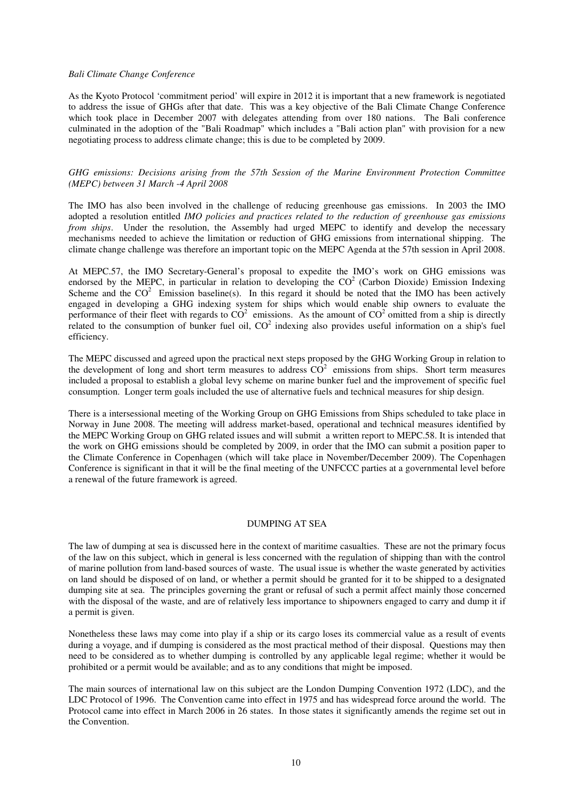#### *Bali Climate Change Conference*

As the Kyoto Protocol 'commitment period' will expire in 2012 it is important that a new framework is negotiated to address the issue of GHGs after that date. This was a key objective of the Bali Climate Change Conference which took place in December 2007 with delegates attending from over 180 nations. The Bali conference culminated in the adoption of the "Bali Roadmap" which includes a "Bali action plan" with provision for a new negotiating process to address climate change; this is due to be completed by 2009.

## *GHG emissions: Decisions arising from the 57th Session of the Marine Environment Protection Committee (MEPC) between 31 March -4 April 2008*

The IMO has also been involved in the challenge of reducing greenhouse gas emissions. In 2003 the IMO adopted a resolution entitled *IMO policies and practices related to the reduction of greenhouse gas emissions from ships*. Under the resolution, the Assembly had urged MEPC to identify and develop the necessary mechanisms needed to achieve the limitation or reduction of GHG emissions from international shipping. The climate change challenge was therefore an important topic on the MEPC Agenda at the 57th session in April 2008.

At MEPC.57, the IMO Secretary-General's proposal to expedite the IMO's work on GHG emissions was endorsed by the MEPC, in particular in relation to developing the  $CO<sup>2</sup>$  (Carbon Dioxide) Emission Indexing Scheme and the  $CO<sup>2</sup>$  Emission baseline(s). In this regard it should be noted that the IMO has been actively engaged in developing a GHG indexing system for ships which would enable ship owners to evaluate the performance of their fleet with regards to  $CO<sup>2</sup>$  emissions. As the amount of  $CO<sup>2</sup>$  omitted from a ship is directly related to the consumption of bunker fuel oil,  $CO^2$  indexing also provides useful information on a ship's fuel efficiency.

The MEPC discussed and agreed upon the practical next steps proposed by the GHG Working Group in relation to the development of long and short term measures to address  $CO<sup>2</sup>$  emissions from ships. Short term measures included a proposal to establish a global levy scheme on marine bunker fuel and the improvement of specific fuel consumption. Longer term goals included the use of alternative fuels and technical measures for ship design.

There is a intersessional meeting of the Working Group on GHG Emissions from Ships scheduled to take place in Norway in June 2008. The meeting will address market-based, operational and technical measures identified by the MEPC Working Group on GHG related issues and will submit a written report to MEPC.58. It is intended that the work on GHG emissions should be completed by 2009, in order that the IMO can submit a position paper to the Climate Conference in Copenhagen (which will take place in November/December 2009). The Copenhagen Conference is significant in that it will be the final meeting of the UNFCCC parties at a governmental level before a renewal of the future framework is agreed.

#### DUMPING AT SEA

The law of dumping at sea is discussed here in the context of maritime casualties. These are not the primary focus of the law on this subject, which in general is less concerned with the regulation of shipping than with the control of marine pollution from land-based sources of waste. The usual issue is whether the waste generated by activities on land should be disposed of on land, or whether a permit should be granted for it to be shipped to a designated dumping site at sea. The principles governing the grant or refusal of such a permit affect mainly those concerned with the disposal of the waste, and are of relatively less importance to shipowners engaged to carry and dump it if a permit is given.

Nonetheless these laws may come into play if a ship or its cargo loses its commercial value as a result of events during a voyage, and if dumping is considered as the most practical method of their disposal. Questions may then need to be considered as to whether dumping is controlled by any applicable legal regime; whether it would be prohibited or a permit would be available; and as to any conditions that might be imposed.

The main sources of international law on this subject are the London Dumping Convention 1972 (LDC), and the LDC Protocol of 1996. The Convention came into effect in 1975 and has widespread force around the world. The Protocol came into effect in March 2006 in 26 states. In those states it significantly amends the regime set out in the Convention.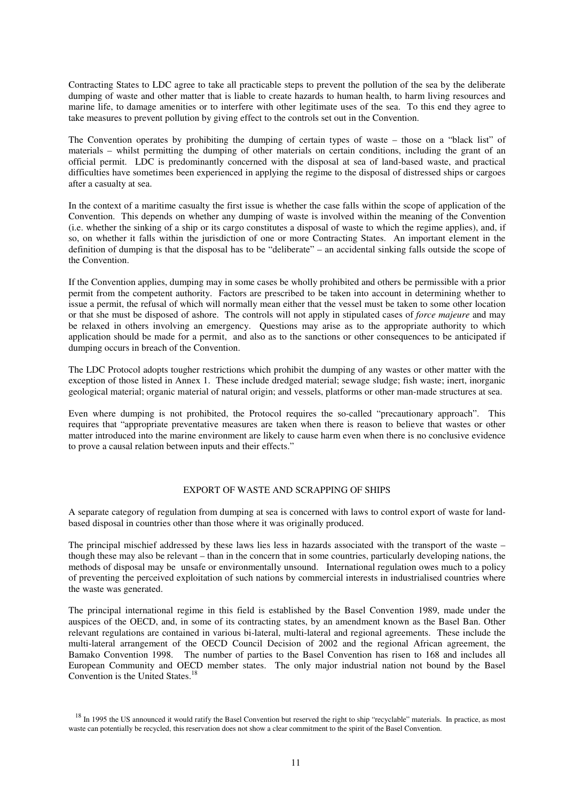Contracting States to LDC agree to take all practicable steps to prevent the pollution of the sea by the deliberate dumping of waste and other matter that is liable to create hazards to human health, to harm living resources and marine life, to damage amenities or to interfere with other legitimate uses of the sea. To this end they agree to take measures to prevent pollution by giving effect to the controls set out in the Convention.

The Convention operates by prohibiting the dumping of certain types of waste – those on a "black list" of materials – whilst permitting the dumping of other materials on certain conditions, including the grant of an official permit. LDC is predominantly concerned with the disposal at sea of land-based waste, and practical difficulties have sometimes been experienced in applying the regime to the disposal of distressed ships or cargoes after a casualty at sea.

In the context of a maritime casualty the first issue is whether the case falls within the scope of application of the Convention. This depends on whether any dumping of waste is involved within the meaning of the Convention (i.e. whether the sinking of a ship or its cargo constitutes a disposal of waste to which the regime applies), and, if so, on whether it falls within the jurisdiction of one or more Contracting States. An important element in the definition of dumping is that the disposal has to be "deliberate" – an accidental sinking falls outside the scope of the Convention.

If the Convention applies, dumping may in some cases be wholly prohibited and others be permissible with a prior permit from the competent authority. Factors are prescribed to be taken into account in determining whether to issue a permit, the refusal of which will normally mean either that the vessel must be taken to some other location or that she must be disposed of ashore. The controls will not apply in stipulated cases of *force majeure* and may be relaxed in others involving an emergency. Questions may arise as to the appropriate authority to which application should be made for a permit, and also as to the sanctions or other consequences to be anticipated if dumping occurs in breach of the Convention.

The LDC Protocol adopts tougher restrictions which prohibit the dumping of any wastes or other matter with the exception of those listed in Annex 1. These include dredged material; sewage sludge; fish waste; inert, inorganic geological material; organic material of natural origin; and vessels, platforms or other man-made structures at sea.

Even where dumping is not prohibited, the Protocol requires the so-called "precautionary approach". This requires that "appropriate preventative measures are taken when there is reason to believe that wastes or other matter introduced into the marine environment are likely to cause harm even when there is no conclusive evidence to prove a causal relation between inputs and their effects."

### EXPORT OF WASTE AND SCRAPPING OF SHIPS

A separate category of regulation from dumping at sea is concerned with laws to control export of waste for landbased disposal in countries other than those where it was originally produced.

The principal mischief addressed by these laws lies less in hazards associated with the transport of the waste – though these may also be relevant – than in the concern that in some countries, particularly developing nations, the methods of disposal may be unsafe or environmentally unsound. International regulation owes much to a policy of preventing the perceived exploitation of such nations by commercial interests in industrialised countries where the waste was generated.

The principal international regime in this field is established by the Basel Convention 1989, made under the auspices of the OECD, and, in some of its contracting states, by an amendment known as the Basel Ban. Other relevant regulations are contained in various bi-lateral, multi-lateral and regional agreements. These include the multi-lateral arrangement of the OECD Council Decision of 2002 and the regional African agreement, the Bamako Convention 1998. The number of parties to the Basel Convention has risen to 168 and includes all European Community and OECD member states. The only major industrial nation not bound by the Basel Convention is the United States.<sup>18</sup>

<sup>&</sup>lt;sup>18</sup> In 1995 the US announced it would ratify the Basel Convention but reserved the right to ship "recyclable" materials. In practice, as most waste can potentially be recycled, this reservation does not show a clear commitment to the spirit of the Basel Convention.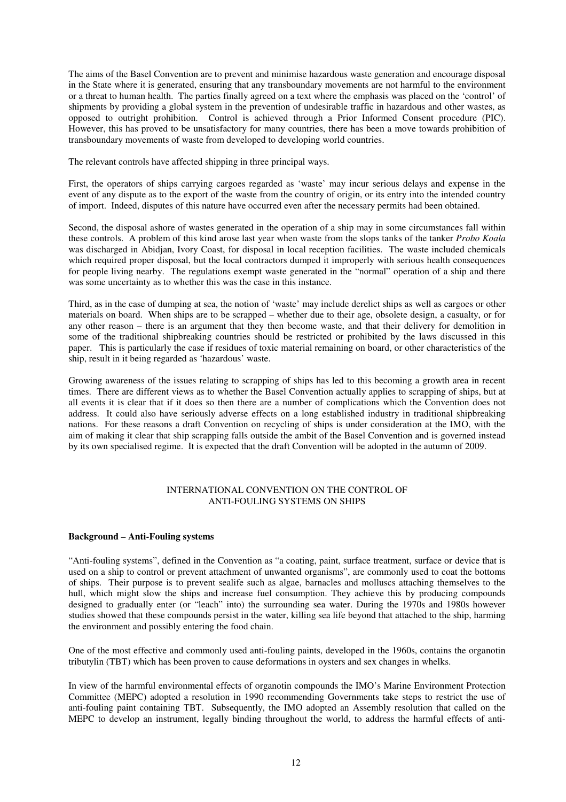The aims of the Basel Convention are to prevent and minimise hazardous waste generation and encourage disposal in the State where it is generated, ensuring that any transboundary movements are not harmful to the environment or a threat to human health. The parties finally agreed on a text where the emphasis was placed on the 'control' of shipments by providing a global system in the prevention of undesirable traffic in hazardous and other wastes, as opposed to outright prohibition. Control is achieved through a Prior Informed Consent procedure (PIC). However, this has proved to be unsatisfactory for many countries, there has been a move towards prohibition of transboundary movements of waste from developed to developing world countries.

The relevant controls have affected shipping in three principal ways.

First, the operators of ships carrying cargoes regarded as 'waste' may incur serious delays and expense in the event of any dispute as to the export of the waste from the country of origin, or its entry into the intended country of import. Indeed, disputes of this nature have occurred even after the necessary permits had been obtained.

Second, the disposal ashore of wastes generated in the operation of a ship may in some circumstances fall within these controls. A problem of this kind arose last year when waste from the slops tanks of the tanker *Probo Koala* was discharged in Abidjan, Ivory Coast, for disposal in local reception facilities. The waste included chemicals which required proper disposal, but the local contractors dumped it improperly with serious health consequences for people living nearby. The regulations exempt waste generated in the "normal" operation of a ship and there was some uncertainty as to whether this was the case in this instance.

Third, as in the case of dumping at sea, the notion of 'waste' may include derelict ships as well as cargoes or other materials on board. When ships are to be scrapped – whether due to their age, obsolete design, a casualty, or for any other reason – there is an argument that they then become waste, and that their delivery for demolition in some of the traditional shipbreaking countries should be restricted or prohibited by the laws discussed in this paper. This is particularly the case if residues of toxic material remaining on board, or other characteristics of the ship, result in it being regarded as 'hazardous' waste.

Growing awareness of the issues relating to scrapping of ships has led to this becoming a growth area in recent times. There are different views as to whether the Basel Convention actually applies to scrapping of ships, but at all events it is clear that if it does so then there are a number of complications which the Convention does not address. It could also have seriously adverse effects on a long established industry in traditional shipbreaking nations. For these reasons a draft Convention on recycling of ships is under consideration at the IMO, with the aim of making it clear that ship scrapping falls outside the ambit of the Basel Convention and is governed instead by its own specialised regime. It is expected that the draft Convention will be adopted in the autumn of 2009.

# INTERNATIONAL CONVENTION ON THE CONTROL OF ANTI-FOULING SYSTEMS ON SHIPS

# **Background – Anti-Fouling systems**

"Anti-fouling systems", defined in the Convention as "a coating, paint, surface treatment, surface or device that is used on a ship to control or prevent attachment of unwanted organisms", are commonly used to coat the bottoms of ships. Their purpose is to prevent sealife such as algae, barnacles and molluscs attaching themselves to the hull, which might slow the ships and increase fuel consumption. They achieve this by producing compounds designed to gradually enter (or "leach" into) the surrounding sea water. During the 1970s and 1980s however studies showed that these compounds persist in the water, killing sea life beyond that attached to the ship, harming the environment and possibly entering the food chain.

One of the most effective and commonly used anti-fouling paints, developed in the 1960s, contains the organotin tributylin (TBT) which has been proven to cause deformations in oysters and sex changes in whelks.

In view of the harmful environmental effects of organotin compounds the IMO's Marine Environment Protection Committee (MEPC) adopted a resolution in 1990 recommending Governments take steps to restrict the use of anti-fouling paint containing TBT. Subsequently, the IMO adopted an Assembly resolution that called on the MEPC to develop an instrument, legally binding throughout the world, to address the harmful effects of anti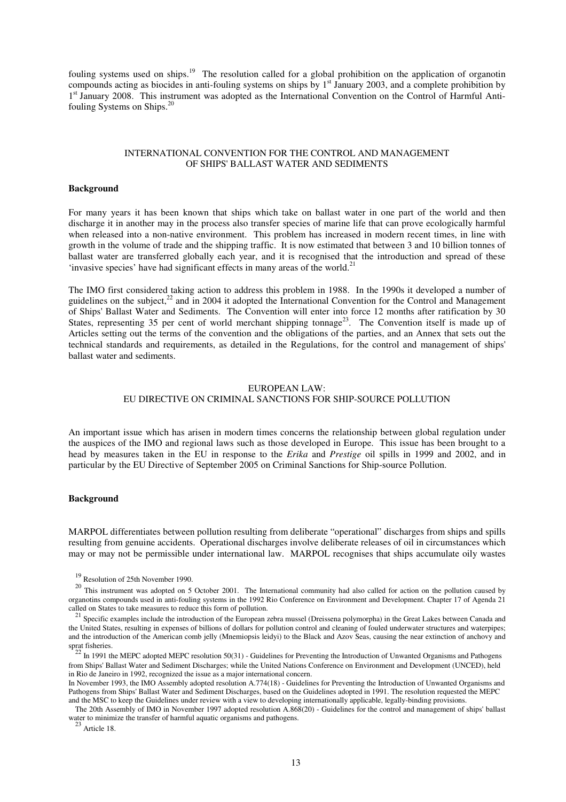fouling systems used on ships.<sup>19</sup> The resolution called for a global prohibition on the application of organotin compounds acting as biocides in anti-fouling systems on ships by  $1<sup>st</sup>$  January 2003, and a complete prohibition by 1<sup>st</sup> January 2008. This instrument was adopted as the International Convention on the Control of Harmful Antifouling Systems on Ships.<sup>20</sup>

#### INTERNATIONAL CONVENTION FOR THE CONTROL AND MANAGEMENT OF SHIPS' BALLAST WATER AND SEDIMENTS

#### **Background**

For many years it has been known that ships which take on ballast water in one part of the world and then discharge it in another may in the process also transfer species of marine life that can prove ecologically harmful when released into a non-native environment. This problem has increased in modern recent times, in line with growth in the volume of trade and the shipping traffic. It is now estimated that between 3 and 10 billion tonnes of ballast water are transferred globally each year, and it is recognised that the introduction and spread of these 'invasive species' have had significant effects in many areas of the world.<sup>21</sup>

The IMO first considered taking action to address this problem in 1988. In the 1990s it developed a number of guidelines on the subject,<sup>22</sup> and in 2004 it adopted the International Convention for the Control and Management of Ships' Ballast Water and Sediments. The Convention will enter into force 12 months after ratification by 30 States, representing 35 per cent of world merchant shipping tonnage<sup>23</sup>. The Convention itself is made up of Articles setting out the terms of the convention and the obligations of the parties, and an Annex that sets out the technical standards and requirements, as detailed in the Regulations, for the control and management of ships' ballast water and sediments.

# EUROPEAN LAW: EU DIRECTIVE ON CRIMINAL SANCTIONS FOR SHIP-SOURCE POLLUTION

An important issue which has arisen in modern times concerns the relationship between global regulation under the auspices of the IMO and regional laws such as those developed in Europe. This issue has been brought to a head by measures taken in the EU in response to the *Erika* and *Prestige* oil spills in 1999 and 2002, and in particular by the EU Directive of September 2005 on Criminal Sanctions for Ship-source Pollution.

#### **Background**

MARPOL differentiates between pollution resulting from deliberate "operational" discharges from ships and spills resulting from genuine accidents. Operational discharges involve deliberate releases of oil in circumstances which may or may not be permissible under international law. MARPOL recognises that ships accumulate oily wastes

<sup>&</sup>lt;sup>19</sup> Resolution of 25th November 1990.

 $20$  This instrument was adopted on 5 October 2001. The International community had also called for action on the pollution caused by organotins compounds used in anti-fouling systems in the 1992 Rio Conference on Environment and Development. Chapter 17 of Agenda 21 called on States to take measures to reduce this form of pollution.

<sup>&</sup>lt;sup>21</sup> Specific examples include the introduction of the European zebra mussel (Dreissena polymorpha) in the Great Lakes between Canada and the United States, resulting in expenses of billions of dollars for pollution control and cleaning of fouled underwater structures and waterpipes; and the introduction of the American comb jelly (Mnemiopsis leidyi) to the Black and Azov Seas, causing the near extinction of anchovy and sprat fisheries.

<sup>22</sup> In 1991 the MEPC adopted MEPC resolution 50(31) - Guidelines for Preventing the Introduction of Unwanted Organisms and Pathogens from Ships' Ballast Water and Sediment Discharges; while the United Nations Conference on Environment and Development (UNCED), held in Rio de Janeiro in 1992, recognized the issue as a major international concern.

In November 1993, the IMO Assembly adopted resolution A.774(18) - Guidelines for Preventing the Introduction of Unwanted Organisms and Pathogens from Ships' Ballast Water and Sediment Discharges, based on the Guidelines adopted in 1991. The resolution requested the MEPC and the MSC to keep the Guidelines under review with a view to developing internationally applicable, legally-binding provisions.

The 20th Assembly of IMO in November 1997 adopted resolution A.868(20) - Guidelines for the control and management of ships' ballast water to minimize the transfer of harmful aquatic organisms and pathogens.

Article 18.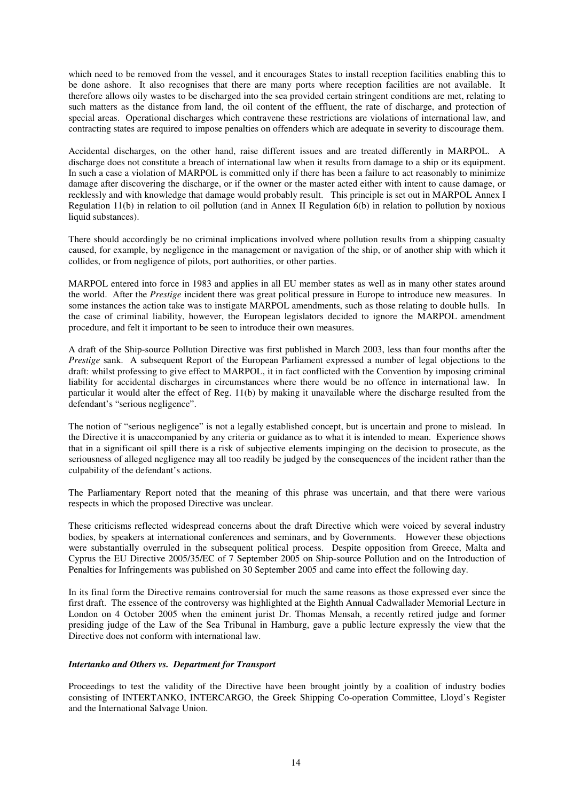which need to be removed from the vessel, and it encourages States to install reception facilities enabling this to be done ashore. It also recognises that there are many ports where reception facilities are not available. It therefore allows oily wastes to be discharged into the sea provided certain stringent conditions are met, relating to such matters as the distance from land, the oil content of the effluent, the rate of discharge, and protection of special areas. Operational discharges which contravene these restrictions are violations of international law, and contracting states are required to impose penalties on offenders which are adequate in severity to discourage them.

Accidental discharges, on the other hand, raise different issues and are treated differently in MARPOL. A discharge does not constitute a breach of international law when it results from damage to a ship or its equipment. In such a case a violation of MARPOL is committed only if there has been a failure to act reasonably to minimize damage after discovering the discharge, or if the owner or the master acted either with intent to cause damage, or recklessly and with knowledge that damage would probably result. This principle is set out in MARPOL Annex I Regulation 11(b) in relation to oil pollution (and in Annex II Regulation 6(b) in relation to pollution by noxious liquid substances).

There should accordingly be no criminal implications involved where pollution results from a shipping casualty caused, for example, by negligence in the management or navigation of the ship, or of another ship with which it collides, or from negligence of pilots, port authorities, or other parties.

MARPOL entered into force in 1983 and applies in all EU member states as well as in many other states around the world. After the *Prestige* incident there was great political pressure in Europe to introduce new measures. In some instances the action take was to instigate MARPOL amendments, such as those relating to double hulls. In the case of criminal liability, however, the European legislators decided to ignore the MARPOL amendment procedure, and felt it important to be seen to introduce their own measures.

A draft of the Ship-source Pollution Directive was first published in March 2003, less than four months after the *Prestige* sank. A subsequent Report of the European Parliament expressed a number of legal objections to the draft: whilst professing to give effect to MARPOL, it in fact conflicted with the Convention by imposing criminal liability for accidental discharges in circumstances where there would be no offence in international law. In particular it would alter the effect of Reg. 11(b) by making it unavailable where the discharge resulted from the defendant's "serious negligence".

The notion of "serious negligence" is not a legally established concept, but is uncertain and prone to mislead. In the Directive it is unaccompanied by any criteria or guidance as to what it is intended to mean. Experience shows that in a significant oil spill there is a risk of subjective elements impinging on the decision to prosecute, as the seriousness of alleged negligence may all too readily be judged by the consequences of the incident rather than the culpability of the defendant's actions.

The Parliamentary Report noted that the meaning of this phrase was uncertain, and that there were various respects in which the proposed Directive was unclear.

These criticisms reflected widespread concerns about the draft Directive which were voiced by several industry bodies, by speakers at international conferences and seminars, and by Governments. However these objections were substantially overruled in the subsequent political process. Despite opposition from Greece, Malta and Cyprus the EU Directive 2005/35/EC of 7 September 2005 on Ship-source Pollution and on the Introduction of Penalties for Infringements was published on 30 September 2005 and came into effect the following day.

In its final form the Directive remains controversial for much the same reasons as those expressed ever since the first draft. The essence of the controversy was highlighted at the Eighth Annual Cadwallader Memorial Lecture in London on 4 October 2005 when the eminent jurist Dr. Thomas Mensah, a recently retired judge and former presiding judge of the Law of the Sea Tribunal in Hamburg, gave a public lecture expressly the view that the Directive does not conform with international law.

# *Intertanko and Others vs. Department for Transport*

Proceedings to test the validity of the Directive have been brought jointly by a coalition of industry bodies consisting of INTERTANKO, INTERCARGO, the Greek Shipping Co-operation Committee, Lloyd's Register and the International Salvage Union.